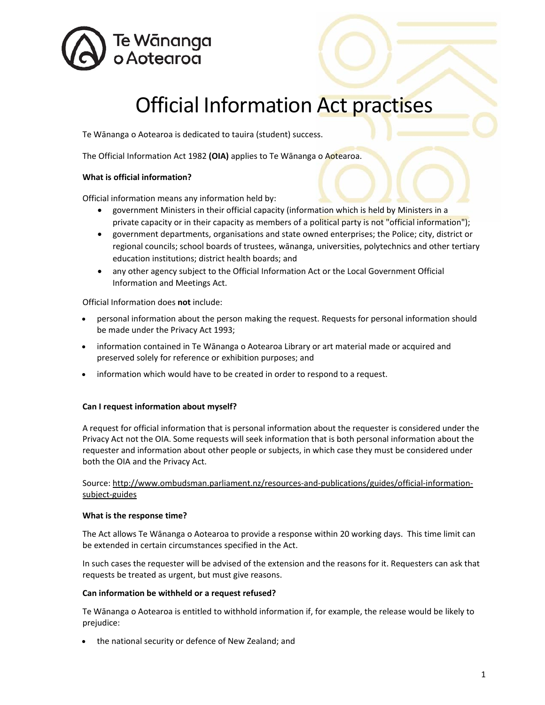

# Official Information Act practises

Te Wānanga o Aotearoa is dedicated to tauira (student) success.

The Official Information Act 1982 **(OIA)** applies to Te Wānanga o Aotearoa.

## **What is official information?**

Official information means any information held by:

- government Ministers in their official capacity (information which is held by Ministers in a private capacity or in their capacity as members of a political party is not "official information");
- x government departments, organisations and state owned enterprises; the Police; city, district or regional councils; school boards of trustees, wānanga, universities, polytechnics and other tertiary education institutions; district health boards; and
- any other agency subject to the Official Information Act or the Local Government Official Information and Meetings Act.

Official Information does **not** include:

- personal information about the person making the request. Requests for personal information should be made under the Privacy Act 1993;
- information contained in Te Wānanga o Aotearoa Library or art material made or acquired and preserved solely for reference or exhibition purposes; and
- information which would have to be created in order to respond to a request.

### **Can I request information about myself?**

A request for official information that is personal information about the requester is considered under the Privacy Act not the OIA. Some requests will seek information that is both personal information about the requester and information about other people or subjects, in which case they must be considered under both the OIA and the Privacy Act.

Source: http://www.ombudsman.parliament.nz/resources‐and‐publications/guides/official‐information‐ subject‐guides

### **What is the response time?**

The Act allows Te Wānanga o Aotearoa to provide a response within 20 working days. This time limit can be extended in certain circumstances specified in the Act.

In such cases the requester will be advised of the extension and the reasons for it. Requesters can ask that requests be treated as urgent, but must give reasons.

### **Can information be withheld or a request refused?**

Te Wānanga o Aotearoa is entitled to withhold information if, for example, the release would be likely to prejudice:

• the national security or defence of New Zealand; and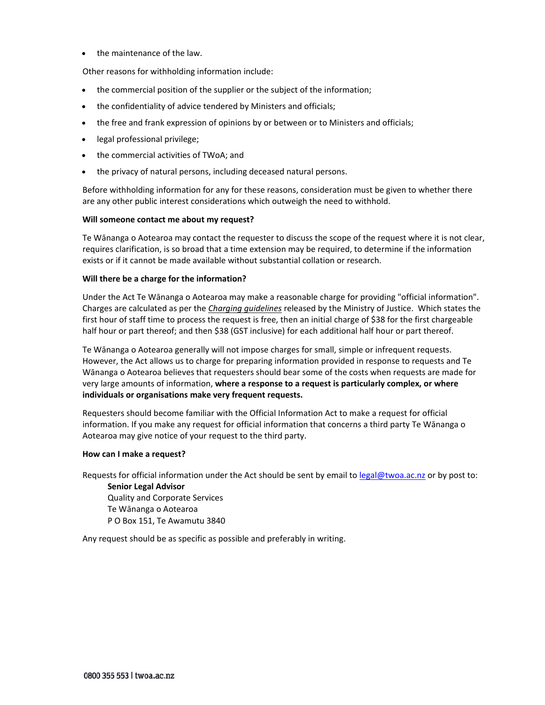• the maintenance of the law.

Other reasons for withholding information include:

- the commercial position of the supplier or the subject of the information;
- the confidentiality of advice tendered by Ministers and officials;
- the free and frank expression of opinions by or between or to Ministers and officials;
- legal professional privilege;
- the commercial activities of TWoA; and
- the privacy of natural persons, including deceased natural persons.

Before withholding information for any for these reasons, consideration must be given to whether there are any other public interest considerations which outweigh the need to withhold.

#### **Will someone contact me about my request?**

Te Wānanga o Aotearoa may contact the requester to discuss the scope of the request where it is not clear, requires clarification, is so broad that a time extension may be required, to determine if the information exists or if it cannot be made available without substantial collation or research.

#### **Will there be a charge for the information?**

Under the Act Te Wānanga o Aotearoa may make a reasonable charge for providing "official information". Charges are calculated as per the *Charging guidelines* released by the Ministry of Justice. Which states the first hour of staff time to process the request is free, then an initial charge of \$38 for the first chargeable half hour or part thereof; and then \$38 (GST inclusive) for each additional half hour or part thereof.

Te Wānanga o Aotearoa generally will not impose charges for small, simple or infrequent requests. However, the Act allows us to charge for preparing information provided in response to requests and Te Wānanga o Aotearoa believes that requesters should bear some of the costs when requests are made for very large amounts of information, **where a response to a request is particularly complex, or where individuals or organisations make very frequent requests.** 

Requesters should become familiar with the Official Information Act to make a request for official information. If you make any request for official information that concerns a third party Te Wānanga o Aotearoa may give notice of your request to the third party.

#### **How can I make a request?**

Requests for official information under the Act should be sent by email to legal@twoa.ac.nz or by post to:

**Senior Legal Advisor**  Quality and Corporate Services Te Wānanga o Aotearoa P O Box 151, Te Awamutu 3840

Any request should be as specific as possible and preferably in writing.